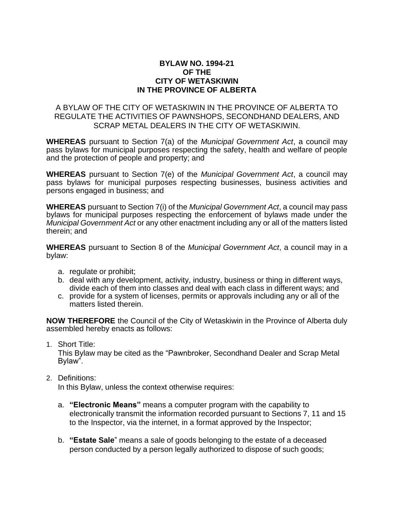### **BYLAW NO. 1994-21 OF THE CITY OF WETASKIWIN IN THE PROVINCE OF ALBERTA**

#### A BYLAW OF THE CITY OF WETASKIWIN IN THE PROVINCE OF ALBERTA TO REGULATE THE ACTIVITIES OF PAWNSHOPS, SECONDHAND DEALERS, AND SCRAP METAL DEALERS IN THE CITY OF WETASKIWIN.

**WHEREAS** pursuant to Section 7(a) of the *Municipal Government Act*, a council may pass bylaws for municipal purposes respecting the safety, health and welfare of people and the protection of people and property; and

**WHEREAS** pursuant to Section 7(e) of the *Municipal Government Act*, a council may pass bylaws for municipal purposes respecting businesses, business activities and persons engaged in business; and

**WHEREAS** pursuant to Section 7(i) of the *Municipal Government Act*, a council may pass bylaws for municipal purposes respecting the enforcement of bylaws made under the *Municipal Government Act* or any other enactment including any or all of the matters listed therein; and

**WHEREAS** pursuant to Section 8 of the *Municipal Government Act*, a council may in a bylaw:

- a. regulate or prohibit;
- b. deal with any development, activity, industry, business or thing in different ways, divide each of them into classes and deal with each class in different ways; and
- c. provide for a system of licenses, permits or approvals including any or all of the matters listed therein.

**NOW THEREFORE** the Council of the City of Wetaskiwin in the Province of Alberta duly assembled hereby enacts as follows:

1. Short Title:

This Bylaw may be cited as the "Pawnbroker, Secondhand Dealer and Scrap Metal Bylaw".

2. Definitions:

In this Bylaw, unless the context otherwise requires:

- a. **"Electronic Means"** means a computer program with the capability to electronically transmit the information recorded pursuant to Sections 7, 11 and 15 to the Inspector, via the internet, in a format approved by the Inspector;
- b. **"Estate Sale**" means a sale of goods belonging to the estate of a deceased person conducted by a person legally authorized to dispose of such goods;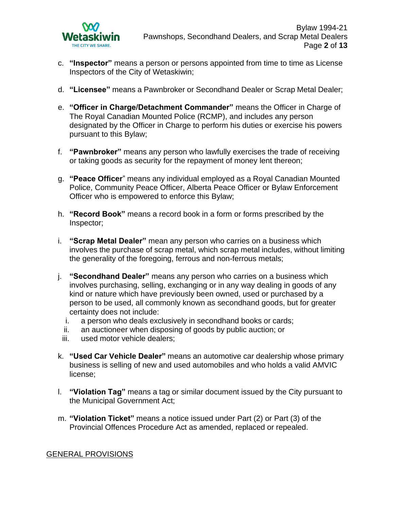

- c. **"Inspector"** means a person or persons appointed from time to time as License Inspectors of the City of Wetaskiwin;
- d. **"Licensee"** means a Pawnbroker or Secondhand Dealer or Scrap Metal Dealer;
- e. **"Officer in Charge/Detachment Commander"** means the Officer in Charge of The Royal Canadian Mounted Police (RCMP), and includes any person designated by the Officer in Charge to perform his duties or exercise his powers pursuant to this Bylaw;
- f. **"Pawnbroker"** means any person who lawfully exercises the trade of receiving or taking goods as security for the repayment of money lent thereon;
- g. **"Peace Officer**" means any individual employed as a Royal Canadian Mounted Police, Community Peace Officer, Alberta Peace Officer or Bylaw Enforcement Officer who is empowered to enforce this Bylaw;
- h. **"Record Book"** means a record book in a form or forms prescribed by the Inspector;
- i. **"Scrap Metal Dealer"** mean any person who carries on a business which involves the purchase of scrap metal, which scrap metal includes, without limiting the generality of the foregoing, ferrous and non-ferrous metals;
- j. **"Secondhand Dealer"** means any person who carries on a business which involves purchasing, selling, exchanging or in any way dealing in goods of any kind or nature which have previously been owned, used or purchased by a person to be used, all commonly known as secondhand goods, but for greater certainty does not include:
	- i. a person who deals exclusively in secondhand books or cards;
	- ii. an auctioneer when disposing of goods by public auction; or
	- iii. used motor vehicle dealers;
- k. **"Used Car Vehicle Dealer"** means an automotive car dealership whose primary business is selling of new and used automobiles and who holds a valid AMVIC license;
- l. **"Violation Tag"** means a tag or similar document issued by the City pursuant to the Municipal Government Act;
- m. **"Violation Ticket"** means a notice issued under Part (2) or Part (3) of the Provincial Offences Procedure Act as amended, replaced or repealed.

### GENERAL PROVISIONS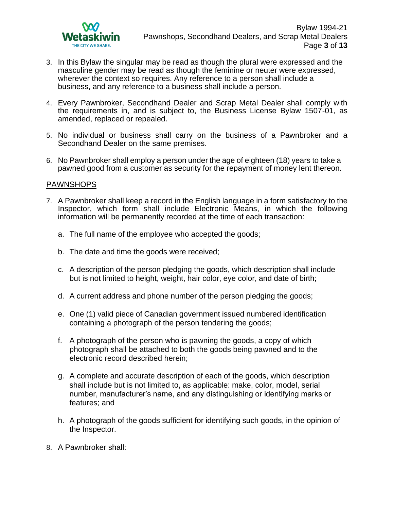

- 3. In this Bylaw the singular may be read as though the plural were expressed and the masculine gender may be read as though the feminine or neuter were expressed, wherever the context so requires. Any reference to a person shall include a business, and any reference to a business shall include a person.
- 4. Every Pawnbroker, Secondhand Dealer and Scrap Metal Dealer shall comply with the requirements in, and is subject to, the Business License Bylaw 1507-01, as amended, replaced or repealed.
- 5. No individual or business shall carry on the business of a Pawnbroker and a Secondhand Dealer on the same premises.
- 6. No Pawnbroker shall employ a person under the age of eighteen (18) years to take a pawned good from a customer as security for the repayment of money lent thereon.

### PAWNSHOPS

- 7. A Pawnbroker shall keep a record in the English language in a form satisfactory to the Inspector, which form shall include Electronic Means, in which the following information will be permanently recorded at the time of each transaction:
	- a. The full name of the employee who accepted the goods;
	- b. The date and time the goods were received;
	- c. A description of the person pledging the goods, which description shall include but is not limited to height, weight, hair color, eye color, and date of birth;
	- d. A current address and phone number of the person pledging the goods;
	- e. One (1) valid piece of Canadian government issued numbered identification containing a photograph of the person tendering the goods;
	- f. A photograph of the person who is pawning the goods, a copy of which photograph shall be attached to both the goods being pawned and to the electronic record described herein;
	- g. A complete and accurate description of each of the goods, which description shall include but is not limited to, as applicable: make, color, model, serial number, manufacturer's name, and any distinguishing or identifying marks or features; and
	- h. A photograph of the goods sufficient for identifying such goods, in the opinion of the Inspector.
- 8. A Pawnbroker shall: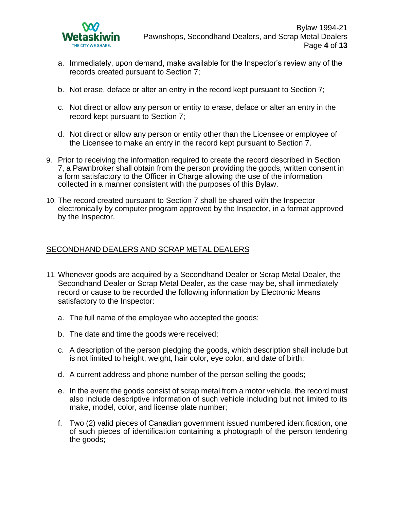

- a. Immediately, upon demand, make available for the Inspector's review any of the records created pursuant to Section 7;
- b. Not erase, deface or alter an entry in the record kept pursuant to Section 7;
- c. Not direct or allow any person or entity to erase, deface or alter an entry in the record kept pursuant to Section 7;
- d. Not direct or allow any person or entity other than the Licensee or employee of the Licensee to make an entry in the record kept pursuant to Section 7.
- 9. Prior to receiving the information required to create the record described in Section 7, a Pawnbroker shall obtain from the person providing the goods, written consent in a form satisfactory to the Officer in Charge allowing the use of the information collected in a manner consistent with the purposes of this Bylaw.
- 10. The record created pursuant to Section 7 shall be shared with the Inspector electronically by computer program approved by the Inspector, in a format approved by the Inspector.

### SECONDHAND DEALERS AND SCRAP METAL DEALERS

- 11. Whenever goods are acquired by a Secondhand Dealer or Scrap Metal Dealer, the Secondhand Dealer or Scrap Metal Dealer, as the case may be, shall immediately record or cause to be recorded the following information by Electronic Means satisfactory to the Inspector:
	- a. The full name of the employee who accepted the goods;
	- b. The date and time the goods were received;
	- c. A description of the person pledging the goods, which description shall include but is not limited to height, weight, hair color, eye color, and date of birth;
	- d. A current address and phone number of the person selling the goods;
	- e. In the event the goods consist of scrap metal from a motor vehicle, the record must also include descriptive information of such vehicle including but not limited to its make, model, color, and license plate number;
	- f. Two (2) valid pieces of Canadian government issued numbered identification, one of such pieces of identification containing a photograph of the person tendering the goods;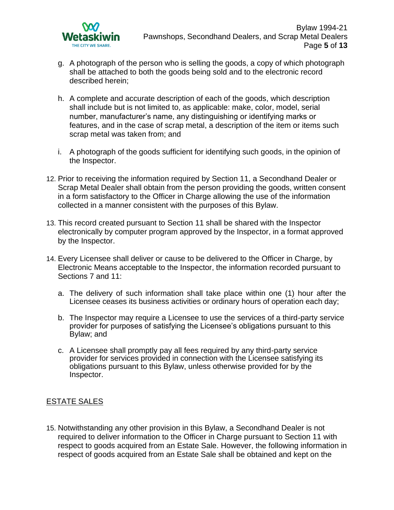

- g. A photograph of the person who is selling the goods, a copy of which photograph shall be attached to both the goods being sold and to the electronic record described herein;
- h. A complete and accurate description of each of the goods, which description shall include but is not limited to, as applicable: make, color, model, serial number, manufacturer's name, any distinguishing or identifying marks or features, and in the case of scrap metal, a description of the item or items such scrap metal was taken from; and
- i. A photograph of the goods sufficient for identifying such goods, in the opinion of the Inspector.
- 12. Prior to receiving the information required by Section 11, a Secondhand Dealer or Scrap Metal Dealer shall obtain from the person providing the goods, written consent in a form satisfactory to the Officer in Charge allowing the use of the information collected in a manner consistent with the purposes of this Bylaw.
- 13. This record created pursuant to Section 11 shall be shared with the Inspector electronically by computer program approved by the Inspector, in a format approved by the Inspector.
- 14. Every Licensee shall deliver or cause to be delivered to the Officer in Charge, by Electronic Means acceptable to the Inspector, the information recorded pursuant to Sections 7 and 11:
	- a. The delivery of such information shall take place within one (1) hour after the Licensee ceases its business activities or ordinary hours of operation each day;
	- b. The Inspector may require a Licensee to use the services of a third-party service provider for purposes of satisfying the Licensee's obligations pursuant to this Bylaw; and
	- c. A Licensee shall promptly pay all fees required by any third-party service provider for services provided in connection with the Licensee satisfying its obligations pursuant to this Bylaw, unless otherwise provided for by the Inspector.

# ESTATE SALES

15. Notwithstanding any other provision in this Bylaw, a Secondhand Dealer is not required to deliver information to the Officer in Charge pursuant to Section 11 with respect to goods acquired from an Estate Sale. However, the following information in respect of goods acquired from an Estate Sale shall be obtained and kept on the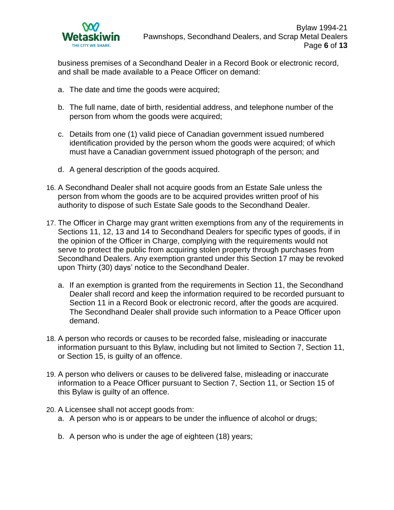

business premises of a Secondhand Dealer in a Record Book or electronic record, and shall be made available to a Peace Officer on demand:

- a. The date and time the goods were acquired;
- b. The full name, date of birth, residential address, and telephone number of the person from whom the goods were acquired;
- c. Details from one (1) valid piece of Canadian government issued numbered identification provided by the person whom the goods were acquired; of which must have a Canadian government issued photograph of the person; and
- d. A general description of the goods acquired.
- 16. A Secondhand Dealer shall not acquire goods from an Estate Sale unless the person from whom the goods are to be acquired provides written proof of his authority to dispose of such Estate Sale goods to the Secondhand Dealer.
- 17. The Officer in Charge may grant written exemptions from any of the requirements in Sections 11, 12, 13 and 14 to Secondhand Dealers for specific types of goods, if in the opinion of the Officer in Charge, complying with the requirements would not serve to protect the public from acquiring stolen property through purchases from Secondhand Dealers. Any exemption granted under this Section 17 may be revoked upon Thirty (30) days' notice to the Secondhand Dealer.
	- a. If an exemption is granted from the requirements in Section 11, the Secondhand Dealer shall record and keep the information required to be recorded pursuant to Section 11 in a Record Book or electronic record, after the goods are acquired. The Secondhand Dealer shall provide such information to a Peace Officer upon demand.
- 18. A person who records or causes to be recorded false, misleading or inaccurate information pursuant to this Bylaw, including but not limited to Section 7, Section 11, or Section 15, is guilty of an offence.
- 19. A person who delivers or causes to be delivered false, misleading or inaccurate information to a Peace Officer pursuant to Section 7, Section 11, or Section 15 of this Bylaw is guilty of an offence.
- 20. A Licensee shall not accept goods from:
	- a. A person who is or appears to be under the influence of alcohol or drugs;
	- b. A person who is under the age of eighteen (18) years;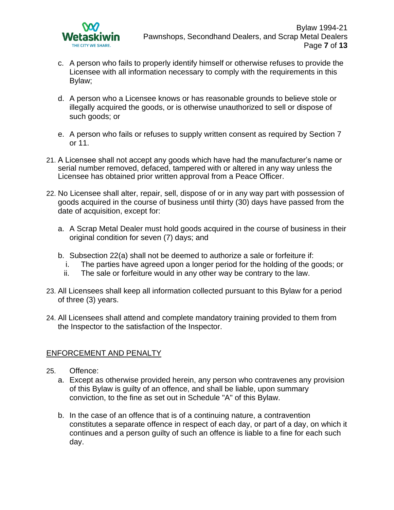

- c. A person who fails to properly identify himself or otherwise refuses to provide the Licensee with all information necessary to comply with the requirements in this Bylaw;
- d. A person who a Licensee knows or has reasonable grounds to believe stole or illegally acquired the goods, or is otherwise unauthorized to sell or dispose of such goods; or
- e. A person who fails or refuses to supply written consent as required by Section 7 or 11.
- 21. A Licensee shall not accept any goods which have had the manufacturer's name or serial number removed, defaced, tampered with or altered in any way unless the Licensee has obtained prior written approval from a Peace Officer.
- 22. No Licensee shall alter, repair, sell, dispose of or in any way part with possession of goods acquired in the course of business until thirty (30) days have passed from the date of acquisition, except for:
	- a. A Scrap Metal Dealer must hold goods acquired in the course of business in their original condition for seven (7) days; and
	- b. Subsection 22(a) shall not be deemed to authorize a sale or forfeiture if:
		- i. The parties have agreed upon a longer period for the holding of the goods; or
		- ii. The sale or forfeiture would in any other way be contrary to the law.
- 23. All Licensees shall keep all information collected pursuant to this Bylaw for a period of three (3) years.
- 24. All Licensees shall attend and complete mandatory training provided to them from the Inspector to the satisfaction of the Inspector.

# ENFORCEMENT AND PENALTY

- 25. Offence:
	- a. Except as otherwise provided herein, any person who contravenes any provision of this Bylaw is guilty of an offence, and shall be liable, upon summary conviction, to the fine as set out in Schedule "A" of this Bylaw.
	- b. In the case of an offence that is of a continuing nature, a contravention constitutes a separate offence in respect of each day, or part of a day, on which it continues and a person guilty of such an offence is liable to a fine for each such day.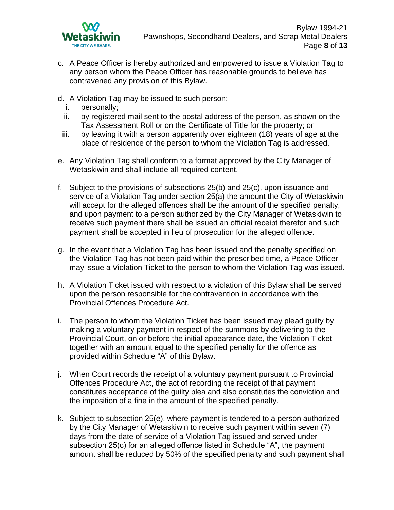

- c. A Peace Officer is hereby authorized and empowered to issue a Violation Tag to any person whom the Peace Officer has reasonable grounds to believe has contravened any provision of this Bylaw.
- d. A Violation Tag may be issued to such person:
	- i. personally;
	- ii. by registered mail sent to the postal address of the person, as shown on the Tax Assessment Roll or on the Certificate of Title for the property; or
- iii. by leaving it with a person apparently over eighteen (18) years of age at the place of residence of the person to whom the Violation Tag is addressed.
- e. Any Violation Tag shall conform to a format approved by the City Manager of Wetaskiwin and shall include all required content.
- f. Subject to the provisions of subsections 25(b) and 25(c), upon issuance and service of a Violation Tag under section 25(a) the amount the City of Wetaskiwin will accept for the alleged offences shall be the amount of the specified penalty, and upon payment to a person authorized by the City Manager of Wetaskiwin to receive such payment there shall be issued an official receipt therefor and such payment shall be accepted in lieu of prosecution for the alleged offence.
- g. In the event that a Violation Tag has been issued and the penalty specified on the Violation Tag has not been paid within the prescribed time, a Peace Officer may issue a Violation Ticket to the person to whom the Violation Tag was issued.
- h. A Violation Ticket issued with respect to a violation of this Bylaw shall be served upon the person responsible for the contravention in accordance with the Provincial Offences Procedure Act.
- i. The person to whom the Violation Ticket has been issued may plead guilty by making a voluntary payment in respect of the summons by delivering to the Provincial Court, on or before the initial appearance date, the Violation Ticket together with an amount equal to the specified penalty for the offence as provided within Schedule "A" of this Bylaw.
- j. When Court records the receipt of a voluntary payment pursuant to Provincial Offences Procedure Act, the act of recording the receipt of that payment constitutes acceptance of the guilty plea and also constitutes the conviction and the imposition of a fine in the amount of the specified penalty.
- k. Subject to subsection 25(e), where payment is tendered to a person authorized by the City Manager of Wetaskiwin to receive such payment within seven (7) days from the date of service of a Violation Tag issued and served under subsection 25(c) for an alleged offence listed in Schedule "A", the payment amount shall be reduced by 50% of the specified penalty and such payment shall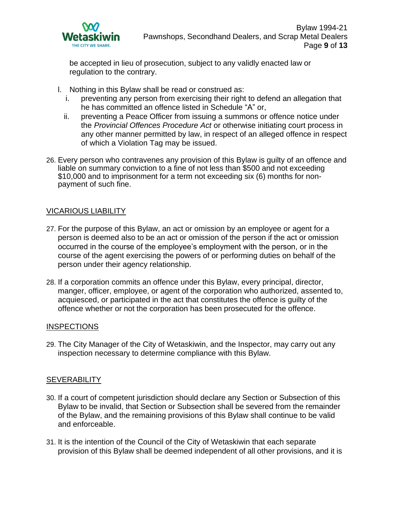

be accepted in lieu of prosecution, subject to any validly enacted law or regulation to the contrary.

- l. Nothing in this Bylaw shall be read or construed as:
	- i. preventing any person from exercising their right to defend an allegation that he has committed an offence listed in Schedule "A" or,
	- ii. preventing a Peace Officer from issuing a summons or offence notice under the *Provincial Offences Procedure Act* or otherwise initiating court process in any other manner permitted by law, in respect of an alleged offence in respect of which a Violation Tag may be issued.
- 26. Every person who contravenes any provision of this Bylaw is guilty of an offence and liable on summary conviction to a fine of not less than \$500 and not exceeding \$10,000 and to imprisonment for a term not exceeding six (6) months for nonpayment of such fine.

### VICARIOUS LIABILITY

- 27. For the purpose of this Bylaw, an act or omission by an employee or agent for a person is deemed also to be an act or omission of the person if the act or omission occurred in the course of the employee's employment with the person, or in the course of the agent exercising the powers of or performing duties on behalf of the person under their agency relationship.
- 28. If a corporation commits an offence under this Bylaw, every principal, director, manger, officer, employee, or agent of the corporation who authorized, assented to, acquiesced, or participated in the act that constitutes the offence is guilty of the offence whether or not the corporation has been prosecuted for the offence.

### INSPECTIONS

29. The City Manager of the City of Wetaskiwin, and the Inspector, may carry out any inspection necessary to determine compliance with this Bylaw.

### **SEVERABILITY**

- 30. If a court of competent jurisdiction should declare any Section or Subsection of this Bylaw to be invalid, that Section or Subsection shall be severed from the remainder of the Bylaw, and the remaining provisions of this Bylaw shall continue to be valid and enforceable.
- 31. It is the intention of the Council of the City of Wetaskiwin that each separate provision of this Bylaw shall be deemed independent of all other provisions, and it is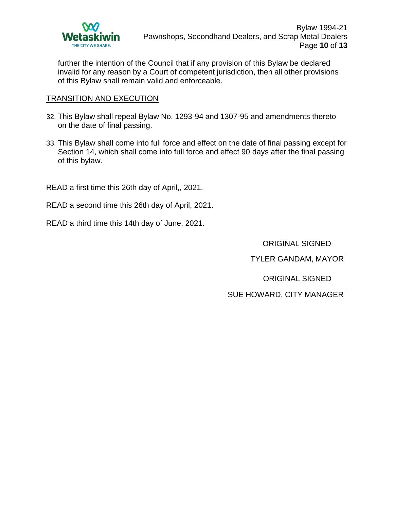

further the intention of the Council that if any provision of this Bylaw be declared invalid for any reason by a Court of competent jurisdiction, then all other provisions of this Bylaw shall remain valid and enforceable.

## TRANSITION AND EXECUTION

- 32. This Bylaw shall repeal Bylaw No. 1293-94 and 1307-95 and amendments thereto on the date of final passing.
- 33. This Bylaw shall come into full force and effect on the date of final passing except for Section 14, which shall come into full force and effect 90 days after the final passing of this bylaw.

READ a first time this 26th day of April,, 2021.

- READ a second time this 26th day of April, 2021.
- READ a third time this 14th day of June, 2021.

ORIGINAL SIGNED

TYLER GANDAM, MAYOR

ORIGINAL SIGNED

SUE HOWARD, CITY MANAGER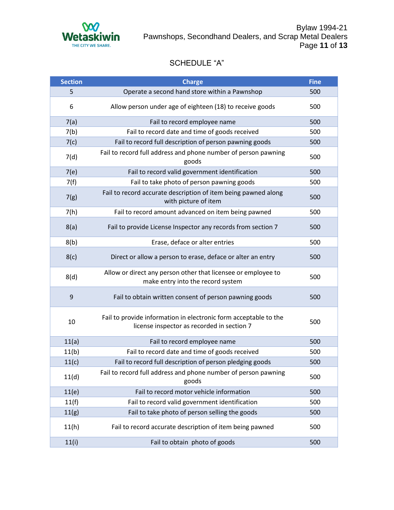

# SCHEDULE "A"

| <b>Section</b> | <b>Charge</b>                                                                                                  | <b>Fine</b> |
|----------------|----------------------------------------------------------------------------------------------------------------|-------------|
| 5              | Operate a second hand store within a Pawnshop                                                                  | 500         |
| 6              | Allow person under age of eighteen (18) to receive goods                                                       | 500         |
| 7(a)           | Fail to record employee name                                                                                   | 500         |
| 7(b)           | Fail to record date and time of goods received                                                                 | 500         |
| 7(c)           | Fail to record full description of person pawning goods                                                        | 500         |
| 7(d)           | Fail to record full address and phone number of person pawning<br>goods                                        | 500         |
| 7(e)           | Fail to record valid government identification                                                                 | 500         |
| 7(f)           | Fail to take photo of person pawning goods                                                                     | 500         |
| 7(g)           | Fail to record accurate description of item being pawned along<br>with picture of item                         | 500         |
| 7(h)           | Fail to record amount advanced on item being pawned                                                            | 500         |
| 8(a)           | Fail to provide License Inspector any records from section 7                                                   | 500         |
| 8(b)           | Erase, deface or alter entries                                                                                 | 500         |
| 8(c)           | Direct or allow a person to erase, deface or alter an entry                                                    | 500         |
| 8(d)           | Allow or direct any person other that licensee or employee to<br>make entry into the record system             | 500         |
| 9              | Fail to obtain written consent of person pawning goods                                                         | 500         |
| 10             | Fail to provide information in electronic form acceptable to the<br>license inspector as recorded in section 7 | 500         |
| 11(a)          | Fail to record employee name                                                                                   | 500         |
| 11(b)          | Fail to record date and time of goods received                                                                 | 500         |
| 11(c)          | Fail to record full description of person pledging goods                                                       | 500         |
| 11(d)          | Fail to record full address and phone number of person pawning<br>goods                                        | 500         |
| 11(e)          | Fail to record motor vehicle information                                                                       | 500         |
| 11(f)          | Fail to record valid government identification                                                                 | 500         |
| 11(g)          | Fail to take photo of person selling the goods                                                                 | 500         |
| 11(h)          | Fail to record accurate description of item being pawned                                                       | 500         |
| 11(i)          | Fail to obtain photo of goods                                                                                  | 500         |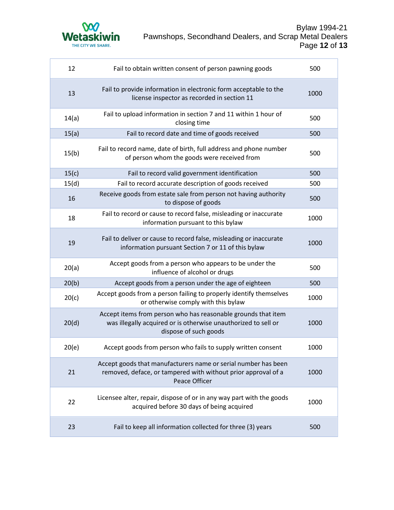

| 12    | Fail to obtain written consent of person pawning goods                                                                                                   | 500  |
|-------|----------------------------------------------------------------------------------------------------------------------------------------------------------|------|
| 13    | Fail to provide information in electronic form acceptable to the<br>license inspector as recorded in section 11                                          | 1000 |
| 14(a) | Fail to upload information in section 7 and 11 within 1 hour of<br>closing time                                                                          | 500  |
| 15(a) | Fail to record date and time of goods received                                                                                                           | 500  |
| 15(b) | Fail to record name, date of birth, full address and phone number<br>of person whom the goods were received from                                         | 500  |
| 15(c) | Fail to record valid government identification                                                                                                           | 500  |
| 15(d) | Fail to record accurate description of goods received                                                                                                    | 500  |
| 16    | Receive goods from estate sale from person not having authority<br>to dispose of goods                                                                   | 500  |
| 18    | Fail to record or cause to record false, misleading or inaccurate<br>information pursuant to this bylaw                                                  | 1000 |
| 19    | Fail to deliver or cause to record false, misleading or inaccurate<br>information pursuant Section 7 or 11 of this bylaw                                 | 1000 |
| 20(a) | Accept goods from a person who appears to be under the<br>influence of alcohol or drugs                                                                  | 500  |
| 20(b) | Accept goods from a person under the age of eighteen                                                                                                     | 500  |
| 20(c) | Accept goods from a person failing to properly identify themselves<br>or otherwise comply with this bylaw                                                | 1000 |
| 20(d) | Accept items from person who has reasonable grounds that item<br>was illegally acquired or is otherwise unauthorized to sell or<br>dispose of such goods | 1000 |
| 20(e) | Accept goods from person who fails to supply written consent                                                                                             | 1000 |
| 21    | Accept goods that manufacturers name or serial number has been<br>removed, deface, or tampered with without prior approval of a<br>Peace Officer         | 1000 |
| 22    | Licensee alter, repair, dispose of or in any way part with the goods<br>acquired before 30 days of being acquired                                        | 1000 |
| 23    | Fail to keep all information collected for three (3) years                                                                                               | 500  |